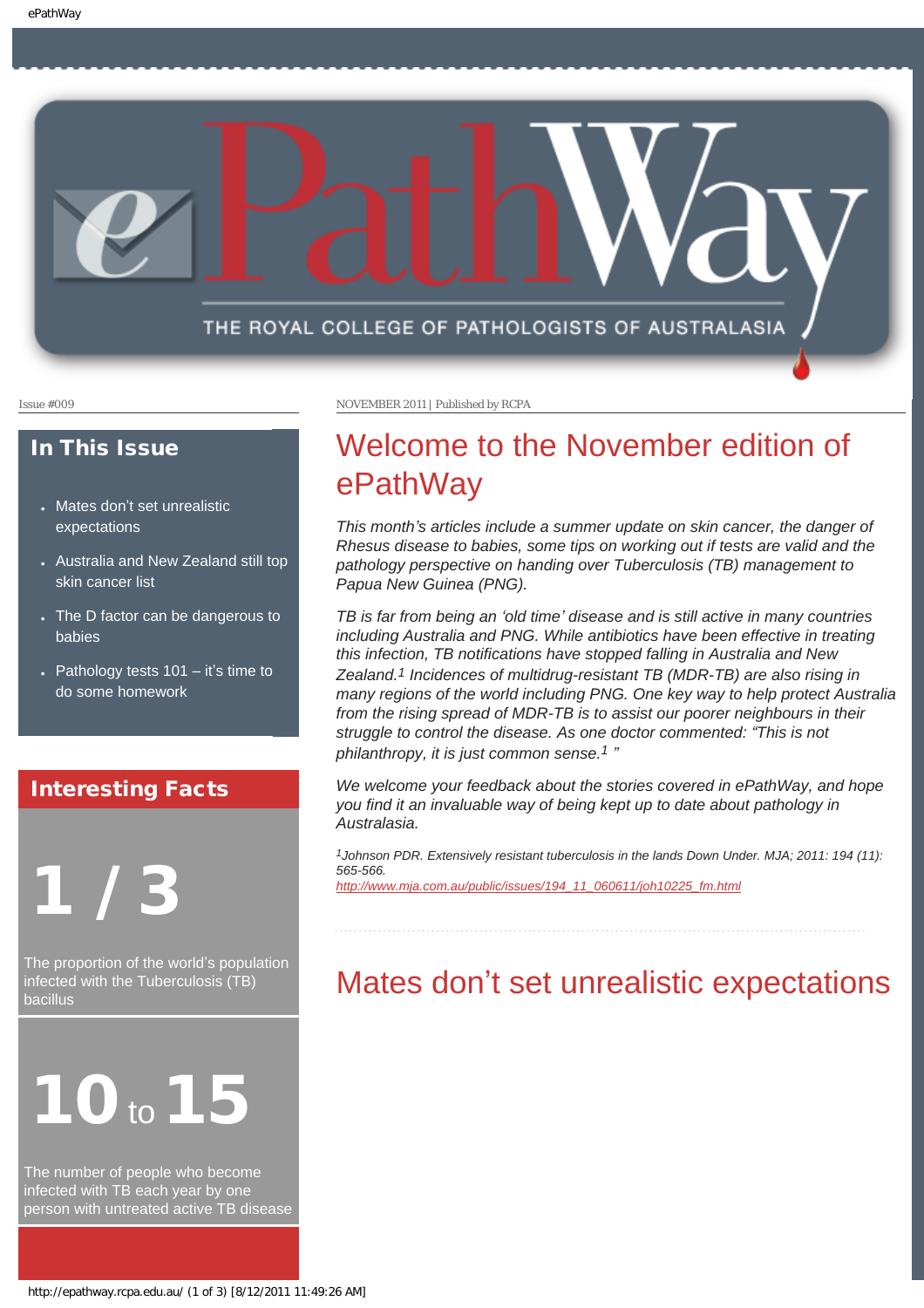

#### In This Issue

- Mates don'[t set unrealistic](#page-0-0) [expectations](#page-0-0)
- [Australia and New Zealand still top](#page-1-0) [skin cancer list](#page-1-0)
- The D factor can be dangerous to [babies](#page-1-1)
- Pathology tests  $101 it's time to$ [do some homework](#page-2-0)

### Interesting Facts

# 1 / 3

<span id="page-0-0"></span>The proportion of the world's population infected with the Tuberculosis (TB) bacillus



The number of people who become infected with TB each year by one person with untreated active TB disease

Issue #009 NOVEMBER 2011 | Published by RCPA

# Welcome to the November edition of ePathWay

*This month's articles include a summer update on skin cancer, the danger of Rhesus disease to babies, some tips on working out if tests are valid and the pathology perspective on handing over Tuberculosis (TB) management to Papua New Guinea (PNG).*

*TB is far from being an 'old time' disease and is still active in many countries including Australia and PNG. While antibiotics have been effective in treating this infection, TB notifications have stopped falling in Australia and New Zealand.1 Incidences of multidrug-resistant TB (MDR-TB) are also rising in many regions of the world including PNG. One key way to help protect Australia from the rising spread of MDR-TB is to assist our poorer neighbours in their struggle to control the disease. As one doctor commented: "This is not philanthropy, it is just common sense.1 "*

*We welcome your feedback about the stories covered in ePathWay, and hope you find it an invaluable way of being kept up to date about pathology in Australasia.*

*1Johnson PDR. Extensively resistant tuberculosis in the lands Down Under. MJA; 2011: 194 (11): 565-566. [http://www.mja.com.au/public/issues/194\\_11\\_060611/joh10225\\_fm.html](http://www.mja.com.au/public/issues/194_11_060611/joh10225_fm.html)*

## Mates don't set unrealistic expectations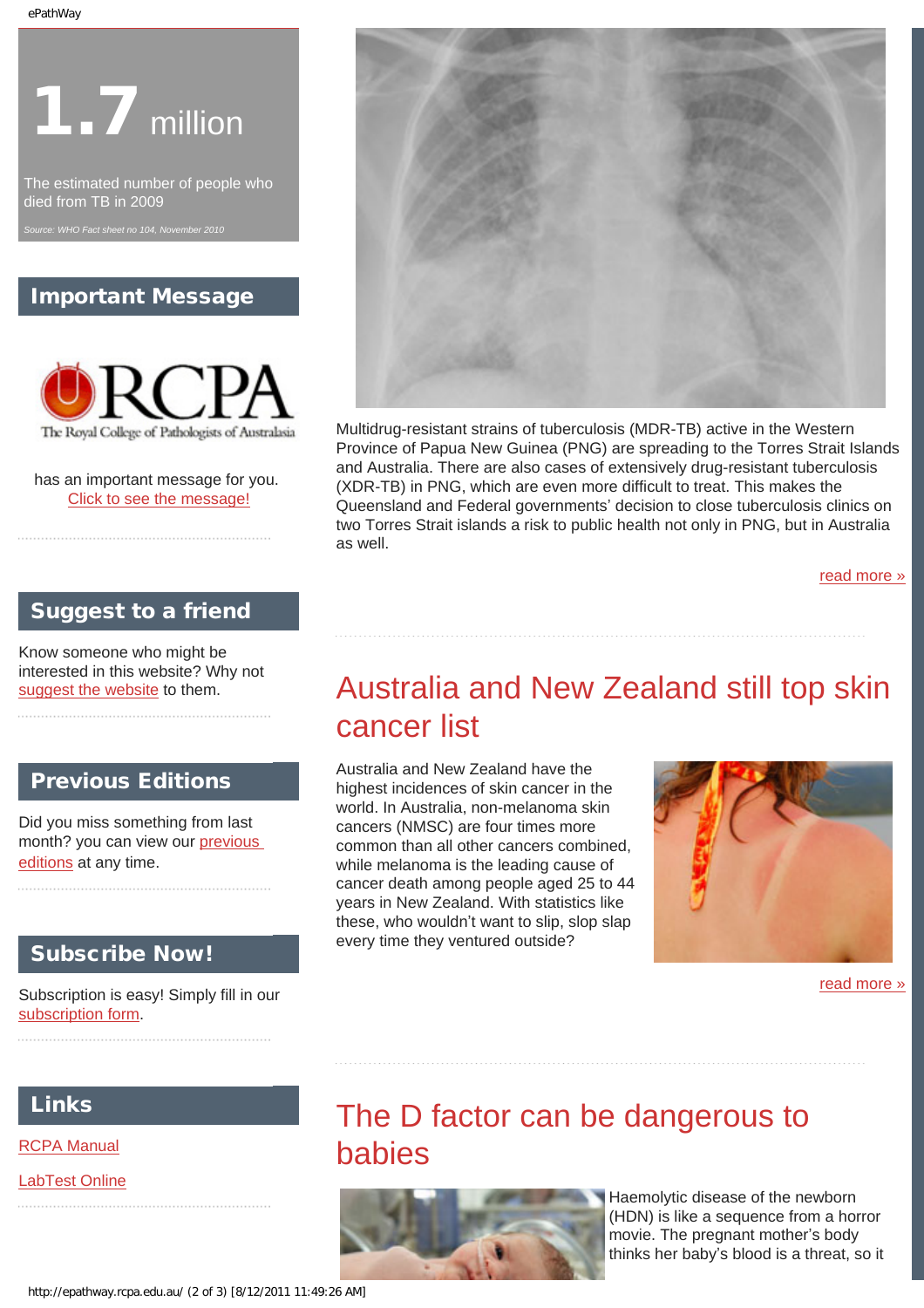# **1.7** million

The estimated number of people who died from TB in 2009

### Important Message



has an important message for you. [Click to see the message!](http://epathway.rcpa.edu.au/notice.html)

### Suggest to a friend

<span id="page-1-0"></span>Know someone who might be interested in this website? Why not [suggest the website](mailto:?Subject=I%20think%20you%20should%20read%20this%20Newsletter=
http://epathway.rcpa.edu.au/index.html) to them.

### Previous Editions

Did you miss something from last month? you can view our [previous](http://epathway.rcpa.edu.au/previous.html) [editions](http://epathway.rcpa.edu.au/previous.html) at any time.

### Subscribe Now!

Subscription is easy! Simply fill in our [subscription form.](http://epathway.rcpa.edu.au/subscription.html)

### <span id="page-1-1"></span>Links

[RCPA Manual](http://rcpamanual.edu.au/)

[LabTest Online](http://www.labtestsonline.org.au/)



Multidrug-resistant strains of tuberculosis (MDR-TB) active in the Western Province of Papua New Guinea (PNG) are spreading to the Torres Strait Islands and Australia. There are also cases of extensively drug-resistant tuberculosis (XDR-TB) in PNG, which are even more difficult to treat. This makes the Queensland and Federal governments' decision to close tuberculosis clinics on two Torres Strait islands a risk to public health not only in PNG, but in Australia as well.

[read more »](#page-3-0)

# Australia and New Zealand still top skin cancer list

Australia and New Zealand have the highest incidences of skin cancer in the world. In Australia, non-melanoma skin cancers (NMSC) are four times more common than all other cancers combined, while melanoma is the leading cause of cancer death among people aged 25 to 44 years in New Zealand. With statistics like these, who wouldn't want to slip, slop slap every time they ventured outside?



[read more »](#page-5-0)

## The D factor can be dangerous to babies



Haemolytic disease of the newborn (HDN) is like a sequence from a horror movie. The pregnant mother's body thinks her baby's blood is a threat, so it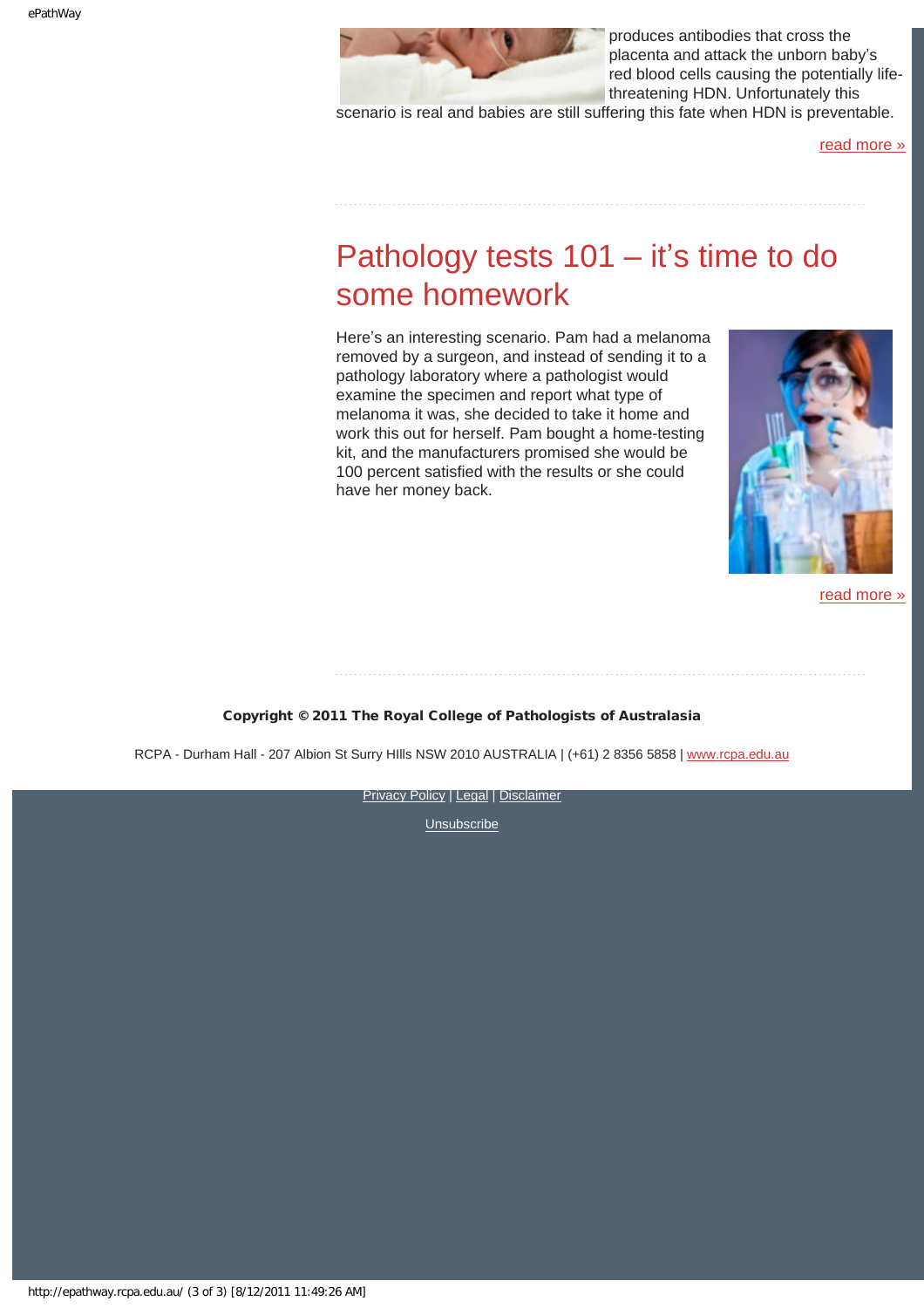

produces antibodies that cross the placenta and attack the unborn baby's red blood cells causing the potentially lifethreatening HDN. Unfortunately this

scenario is real and babies are still suffering this fate when HDN is preventable.

[read more »](#page-7-0)

# <span id="page-2-0"></span>Pathology tests 101 – it's time to do some homework

Here's an interesting scenario. Pam had a melanoma removed by a surgeon, and instead of sending it to a pathology laboratory where a pathologist would examine the specimen and report what type of melanoma it was, she decided to take it home and work this out for herself. Pam bought a home-testing kit, and the manufacturers promised she would be 100 percent satisfied with the results or she could have her money back.



[read more »](#page-9-0)

#### Copyright © 2011 The Royal College of Pathologists of Australasia

RCPA - Durham Hall - 207 Albion St Surry Hills NSW 2010 AUSTRALIA | (+61) 2 8356 5858 | [www.rcpa.edu.au](http://www.rcpa.edu.au/)

**[Privacy Policy](http://www.rcpa.edu.au/Privacy.htm) | [Legal](http://www.rcpa.edu.au/Legal.htm) | [Disclaimer](http://www.rcpa.edu.au/Disclaimer.htm)**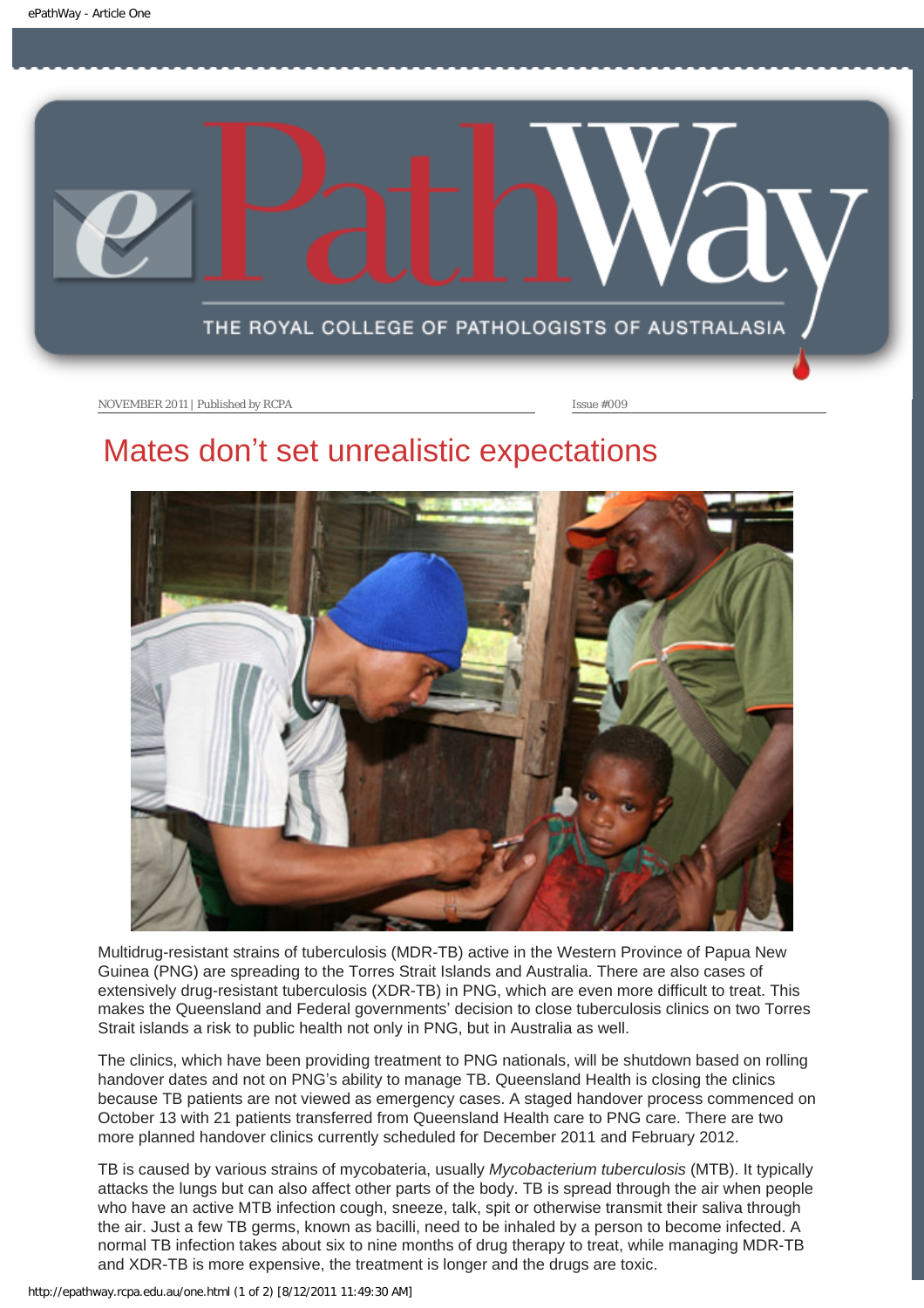<span id="page-3-0"></span>

# Mates don't set unrealistic expectations



Multidrug-resistant strains of tuberculosis (MDR-TB) active in the Western Province of Papua New Guinea (PNG) are spreading to the Torres Strait Islands and Australia. There are also cases of extensively drug-resistant tuberculosis (XDR-TB) in PNG, which are even more difficult to treat. This makes the Queensland and Federal governments' decision to close tuberculosis clinics on two Torres Strait islands a risk to public health not only in PNG, but in Australia as well.

The clinics, which have been providing treatment to PNG nationals, will be shutdown based on rolling handover dates and not on PNG's ability to manage TB. Queensland Health is closing the clinics because TB patients are not viewed as emergency cases. A staged handover process commenced on October 13 with 21 patients transferred from Queensland Health care to PNG care. There are two more planned handover clinics currently scheduled for December 2011 and February 2012.

TB is caused by various strains of mycobateria, usually *Mycobacterium tuberculosis* (MTB). It typically attacks the lungs but can also affect other parts of the body. TB is spread through the air when people who have an active MTB infection cough, sneeze, talk, spit or otherwise transmit their saliva through the air. Just a few TB germs, known as bacilli, need to be inhaled by a person to become infected. A normal TB infection takes about six to nine months of drug therapy to treat, while managing MDR-TB and XDR-TB is more expensive, the treatment is longer and the drugs are toxic.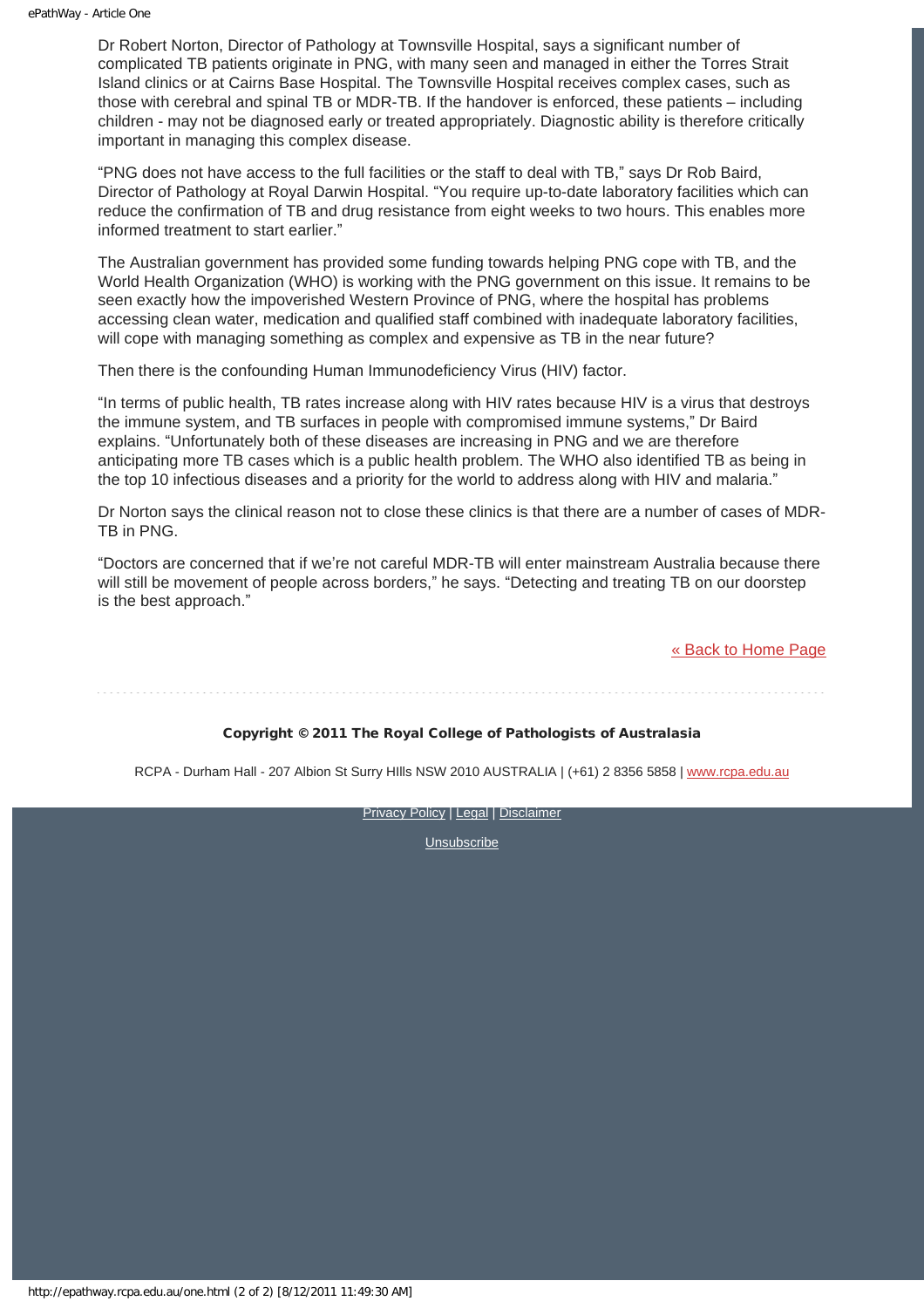Dr Robert Norton, Director of Pathology at Townsville Hospital, says a significant number of complicated TB patients originate in PNG, with many seen and managed in either the Torres Strait Island clinics or at Cairns Base Hospital. The Townsville Hospital receives complex cases, such as those with cerebral and spinal TB or MDR-TB. If the handover is enforced, these patients – including children - may not be diagnosed early or treated appropriately. Diagnostic ability is therefore critically important in managing this complex disease.

"PNG does not have access to the full facilities or the staff to deal with TB," says Dr Rob Baird, Director of Pathology at Royal Darwin Hospital. "You require up-to-date laboratory facilities which can reduce the confirmation of TB and drug resistance from eight weeks to two hours. This enables more informed treatment to start earlier."

The Australian government has provided some funding towards helping PNG cope with TB, and the World Health Organization (WHO) is working with the PNG government on this issue. It remains to be seen exactly how the impoverished Western Province of PNG, where the hospital has problems accessing clean water, medication and qualified staff combined with inadequate laboratory facilities, will cope with managing something as complex and expensive as TB in the near future?

Then there is the confounding Human Immunodeficiency Virus (HIV) factor.

"In terms of public health, TB rates increase along with HIV rates because HIV is a virus that destroys the immune system, and TB surfaces in people with compromised immune systems," Dr Baird explains. "Unfortunately both of these diseases are increasing in PNG and we are therefore anticipating more TB cases which is a public health problem. The WHO also identified TB as being in the top 10 infectious diseases and a priority for the world to address along with HIV and malaria."

Dr Norton says the clinical reason not to close these clinics is that there are a number of cases of MDR-TB in PNG.

"Doctors are concerned that if we're not careful MDR-TB will enter mainstream Australia because there will still be movement of people across borders," he says. "Detecting and treating TB on our doorstep is the best approach."

[« Back to Home Page](http://epathway.rcpa.edu.au/index.html)

#### Copyright © 2011 The Royal College of Pathologists of Australasia

RCPA - Durham Hall - 207 Albion St Surry Hills NSW 2010 AUSTRALIA | (+61) 2 8356 5858 | [www.rcpa.edu.au](http://www.rcpa.edu.au/)

[Privacy Policy](http://www.rcpa.edu.au/Privacy.htm) | [Legal](http://www.rcpa.edu.au/Legal.htm) | [Disclaimer](http://www.rcpa.edu.au/Disclaimer.htm)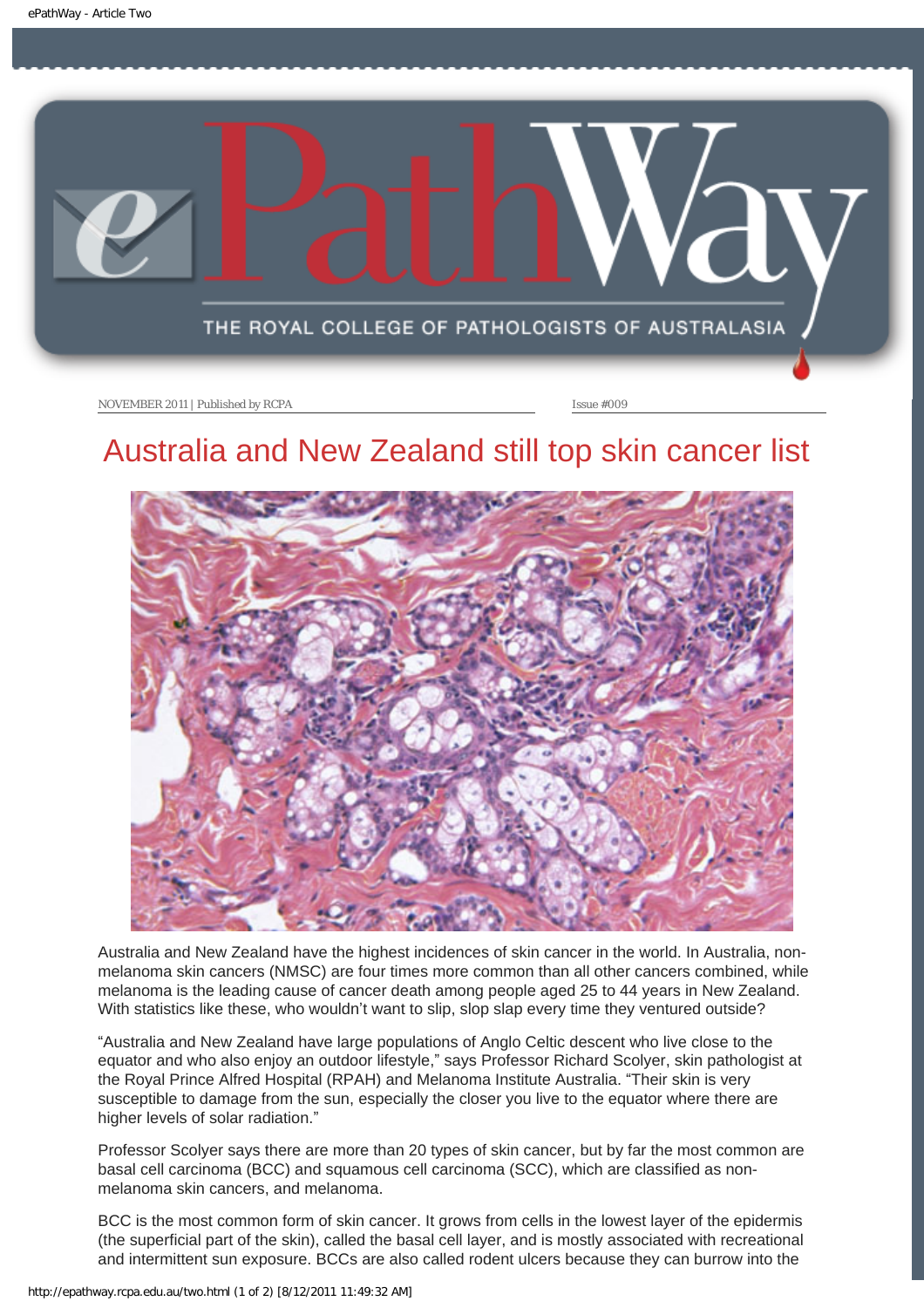<span id="page-5-0"></span>

# Australia and New Zealand still top skin cancer list



Australia and New Zealand have the highest incidences of skin cancer in the world. In Australia, nonmelanoma skin cancers (NMSC) are four times more common than all other cancers combined, while melanoma is the leading cause of cancer death among people aged 25 to 44 years in New Zealand. With statistics like these, who wouldn't want to slip, slop slap every time they ventured outside?

"Australia and New Zealand have large populations of Anglo Celtic descent who live close to the equator and who also enjoy an outdoor lifestyle," says Professor Richard Scolyer, skin pathologist at the Royal Prince Alfred Hospital (RPAH) and Melanoma Institute Australia. "Their skin is very susceptible to damage from the sun, especially the closer you live to the equator where there are higher levels of solar radiation."

Professor Scolyer says there are more than 20 types of skin cancer, but by far the most common are basal cell carcinoma (BCC) and squamous cell carcinoma (SCC), which are classified as nonmelanoma skin cancers, and melanoma.

BCC is the most common form of skin cancer. It grows from cells in the lowest layer of the epidermis (the superficial part of the skin), called the basal cell layer, and is mostly associated with recreational and intermittent sun exposure. BCCs are also called rodent ulcers because they can burrow into the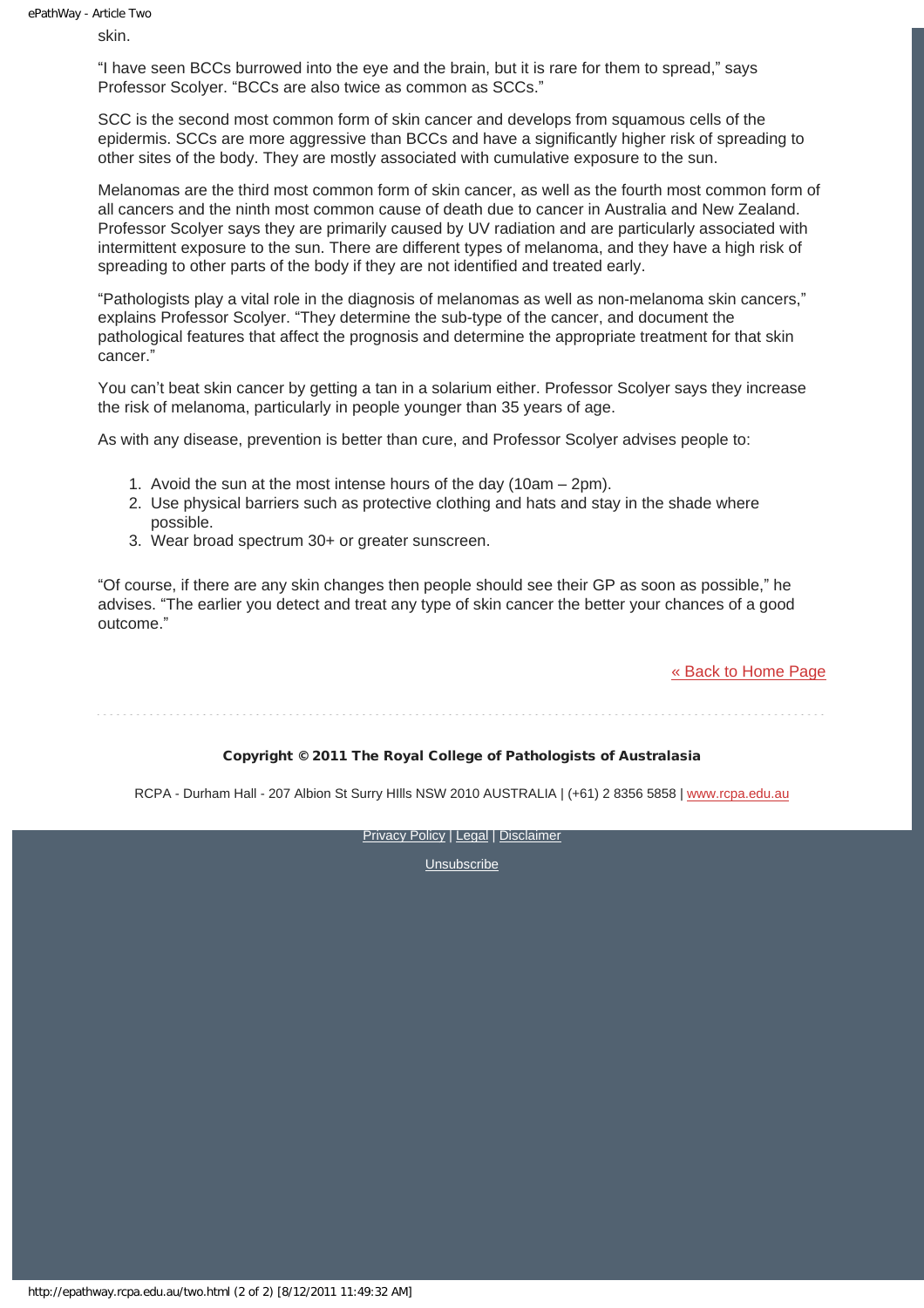skin.

"I have seen BCCs burrowed into the eye and the brain, but it is rare for them to spread," says Professor Scolyer. "BCCs are also twice as common as SCCs."

SCC is the second most common form of skin cancer and develops from squamous cells of the epidermis. SCCs are more aggressive than BCCs and have a significantly higher risk of spreading to other sites of the body. They are mostly associated with cumulative exposure to the sun.

Melanomas are the third most common form of skin cancer, as well as the fourth most common form of all cancers and the ninth most common cause of death due to cancer in Australia and New Zealand. Professor Scolyer says they are primarily caused by UV radiation and are particularly associated with intermittent exposure to the sun. There are different types of melanoma, and they have a high risk of spreading to other parts of the body if they are not identified and treated early.

"Pathologists play a vital role in the diagnosis of melanomas as well as non-melanoma skin cancers," explains Professor Scolyer. "They determine the sub-type of the cancer, and document the pathological features that affect the prognosis and determine the appropriate treatment for that skin cancer."

You can't beat skin cancer by getting a tan in a solarium either. Professor Scolyer says they increase the risk of melanoma, particularly in people younger than 35 years of age.

As with any disease, prevention is better than cure, and Professor Scolyer advises people to:

- 1. Avoid the sun at the most intense hours of the day (10am 2pm).
- 2. Use physical barriers such as protective clothing and hats and stay in the shade where possible.
- 3. Wear broad spectrum 30+ or greater sunscreen.

"Of course, if there are any skin changes then people should see their GP as soon as possible," he advises. "The earlier you detect and treat any type of skin cancer the better your chances of a good outcome."

[« Back to Home Page](http://epathway.rcpa.edu.au/index.html)

#### Copyright © 2011 The Royal College of Pathologists of Australasia

RCPA - Durham Hall - 207 Albion St Surry HIlls NSW 2010 AUSTRALIA | (+61) 2 8356 5858 | [www.rcpa.edu.au](http://www.rcpa.edu.au/)

**[Privacy Policy](http://www.rcpa.edu.au/Privacy.htm) | [Legal](http://www.rcpa.edu.au/Legal.htm) | [Disclaimer](http://www.rcpa.edu.au/Disclaimer.htm)**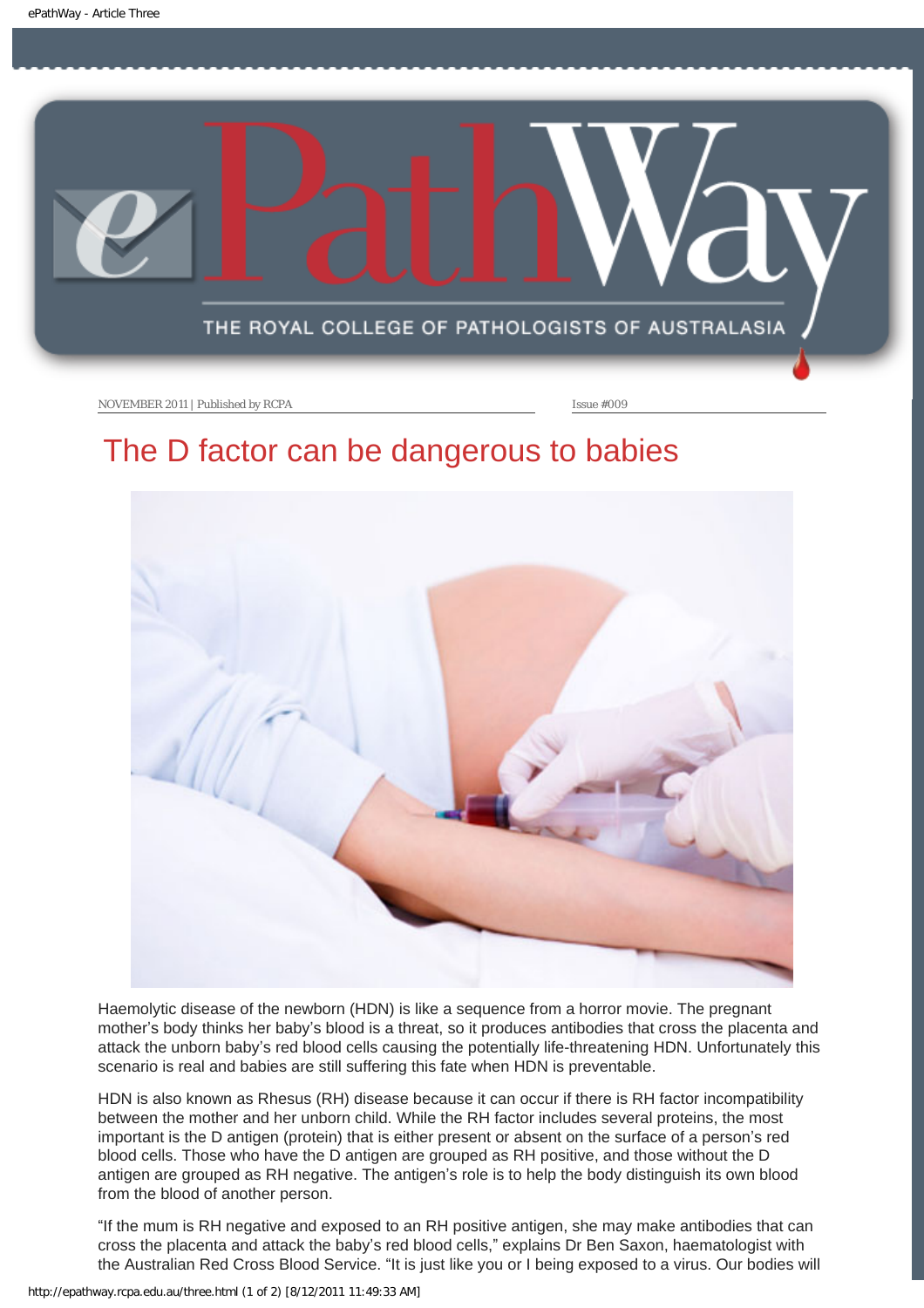<span id="page-7-0"></span>

# The D factor can be dangerous to babies



Haemolytic disease of the newborn (HDN) is like a sequence from a horror movie. The pregnant mother's body thinks her baby's blood is a threat, so it produces antibodies that cross the placenta and attack the unborn baby's red blood cells causing the potentially life-threatening HDN. Unfortunately this scenario is real and babies are still suffering this fate when HDN is preventable.

HDN is also known as Rhesus (RH) disease because it can occur if there is RH factor incompatibility between the mother and her unborn child. While the RH factor includes several proteins, the most important is the D antigen (protein) that is either present or absent on the surface of a person's red blood cells. Those who have the D antigen are grouped as RH positive, and those without the D antigen are grouped as RH negative. The antigen's role is to help the body distinguish its own blood from the blood of another person.

"If the mum is RH negative and exposed to an RH positive antigen, she may make antibodies that can cross the placenta and attack the baby's red blood cells," explains Dr Ben Saxon, haematologist with the Australian Red Cross Blood Service. "It is just like you or I being exposed to a virus. Our bodies will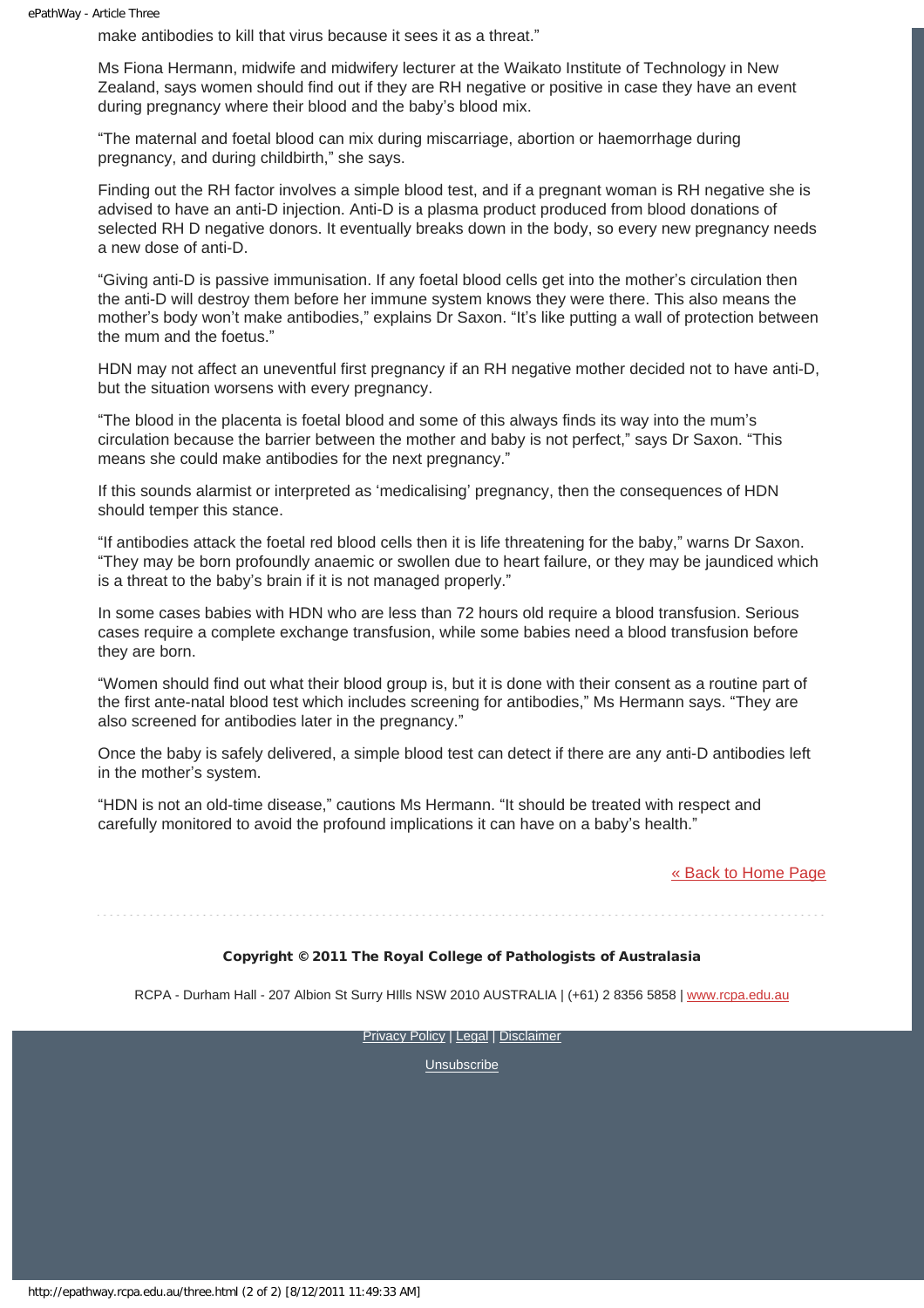make antibodies to kill that virus because it sees it as a threat."

Ms Fiona Hermann, midwife and midwifery lecturer at the Waikato Institute of Technology in New Zealand, says women should find out if they are RH negative or positive in case they have an event during pregnancy where their blood and the baby's blood mix.

"The maternal and foetal blood can mix during miscarriage, abortion or haemorrhage during pregnancy, and during childbirth," she says.

Finding out the RH factor involves a simple blood test, and if a pregnant woman is RH negative she is advised to have an anti-D injection. Anti-D is a plasma product produced from blood donations of selected RH D negative donors. It eventually breaks down in the body, so every new pregnancy needs a new dose of anti-D.

"Giving anti-D is passive immunisation. If any foetal blood cells get into the mother's circulation then the anti-D will destroy them before her immune system knows they were there. This also means the mother's body won't make antibodies," explains Dr Saxon. "It's like putting a wall of protection between the mum and the foetus."

HDN may not affect an uneventful first pregnancy if an RH negative mother decided not to have anti-D, but the situation worsens with every pregnancy.

"The blood in the placenta is foetal blood and some of this always finds its way into the mum's circulation because the barrier between the mother and baby is not perfect," says Dr Saxon. "This means she could make antibodies for the next pregnancy."

If this sounds alarmist or interpreted as 'medicalising' pregnancy, then the consequences of HDN should temper this stance.

"If antibodies attack the foetal red blood cells then it is life threatening for the baby," warns Dr Saxon. "They may be born profoundly anaemic or swollen due to heart failure, or they may be jaundiced which is a threat to the baby's brain if it is not managed properly."

In some cases babies with HDN who are less than 72 hours old require a blood transfusion. Serious cases require a complete exchange transfusion, while some babies need a blood transfusion before they are born.

"Women should find out what their blood group is, but it is done with their consent as a routine part of the first ante-natal blood test which includes screening for antibodies," Ms Hermann says. "They are also screened for antibodies later in the pregnancy."

Once the baby is safely delivered, a simple blood test can detect if there are any anti-D antibodies left in the mother's system.

"HDN is not an old-time disease," cautions Ms Hermann. "It should be treated with respect and carefully monitored to avoid the profound implications it can have on a baby's health."

#### [« Back to Home Page](http://epathway.rcpa.edu.au/index.html)

#### Copyright © 2011 The Royal College of Pathologists of Australasia

RCPA - Durham Hall - 207 Albion St Surry HIlls NSW 2010 AUSTRALIA | (+61) 2 8356 5858 | [www.rcpa.edu.au](http://www.rcpa.edu.au/)

**[Privacy Policy](http://www.rcpa.edu.au/Privacy.htm) | [Legal](http://www.rcpa.edu.au/Legal.htm) | [Disclaimer](http://www.rcpa.edu.au/Disclaimer.htm)**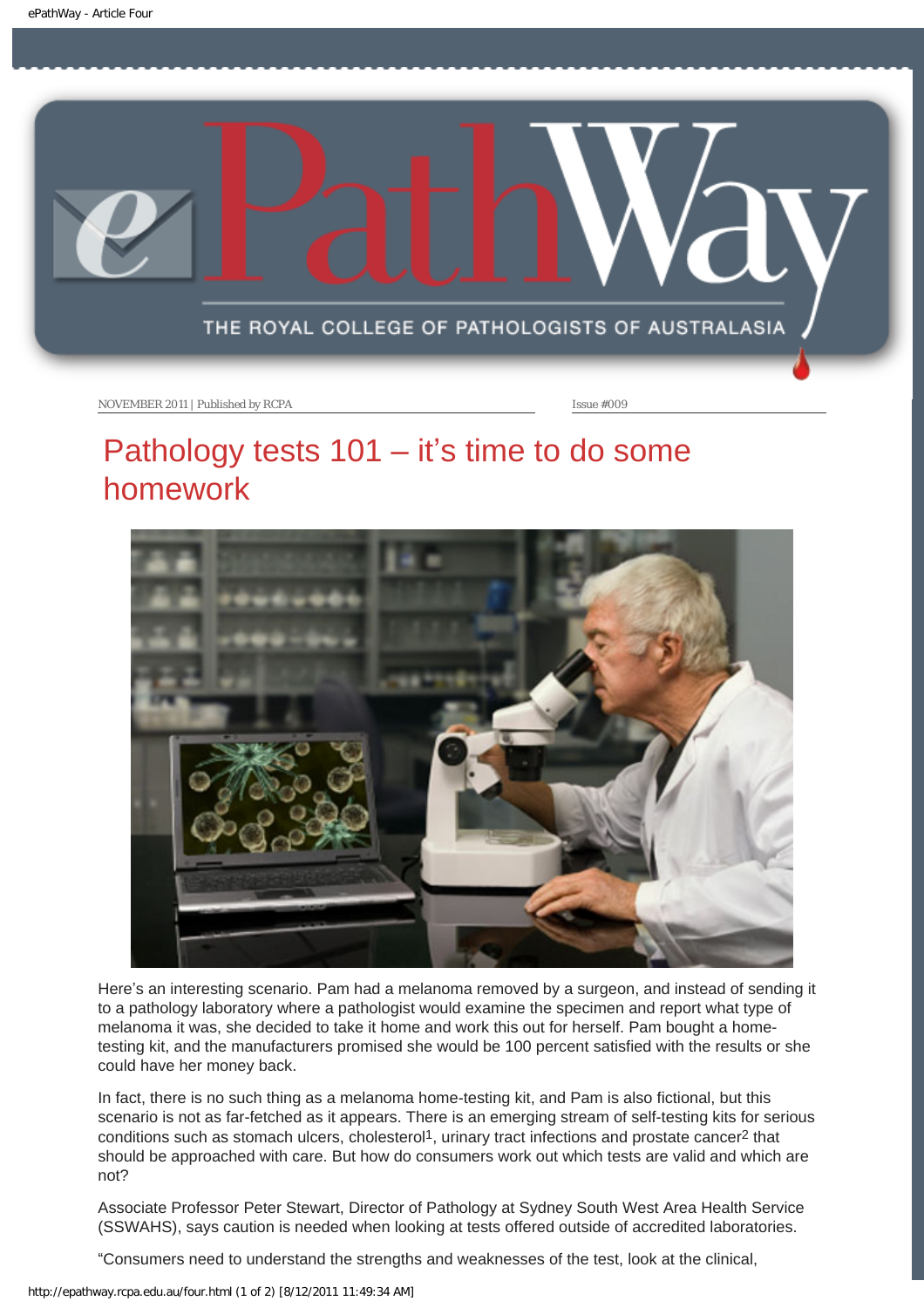<span id="page-9-0"></span>

## Pathology tests  $101 - it's time to do some$ homework



Here's an interesting scenario. Pam had a melanoma removed by a surgeon, and instead of sending it to a pathology laboratory where a pathologist would examine the specimen and report what type of melanoma it was, she decided to take it home and work this out for herself. Pam bought a hometesting kit, and the manufacturers promised she would be 100 percent satisfied with the results or she could have her money back.

In fact, there is no such thing as a melanoma home-testing kit, and Pam is also fictional, but this scenario is not as far-fetched as it appears. There is an emerging stream of self-testing kits for serious conditions such as stomach ulcers, cholesterol<sup>1</sup>, urinary tract infections and prostate cancer<sup>2</sup> that should be approached with care. But how do consumers work out which tests are valid and which are not?

Associate Professor Peter Stewart, Director of Pathology at Sydney South West Area Health Service (SSWAHS), says caution is needed when looking at tests offered outside of accredited laboratories.

"Consumers need to understand the strengths and weaknesses of the test, look at the clinical,